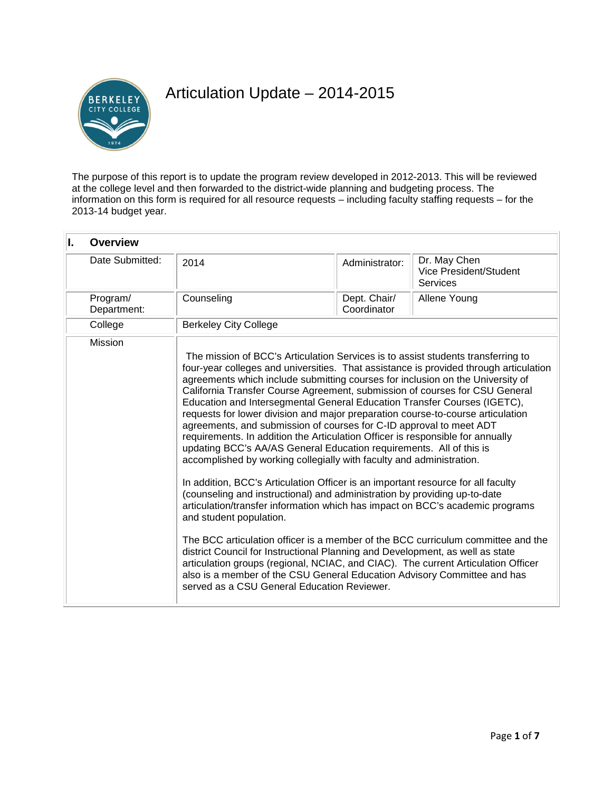

# Articulation Update – 2014-2015

The purpose of this report is to update the program review developed in 2012-2013. This will be reviewed at the college level and then forwarded to the district-wide planning and budgeting process. The information on this form is required for all resource requests – including faculty staffing requests – for the 2013-14 budget year.

| I.<br><b>Overview</b>   |                                                                        |                                                                                                                                                                                                                                                                                                                                                                                                                                                                                                                                                                                                                                                                                                                                                                                                                                                                                                                                                                                                                                                                                                                                                                                                                                                                                                                                                                                                           |                                                           |  |  |
|-------------------------|------------------------------------------------------------------------|-----------------------------------------------------------------------------------------------------------------------------------------------------------------------------------------------------------------------------------------------------------------------------------------------------------------------------------------------------------------------------------------------------------------------------------------------------------------------------------------------------------------------------------------------------------------------------------------------------------------------------------------------------------------------------------------------------------------------------------------------------------------------------------------------------------------------------------------------------------------------------------------------------------------------------------------------------------------------------------------------------------------------------------------------------------------------------------------------------------------------------------------------------------------------------------------------------------------------------------------------------------------------------------------------------------------------------------------------------------------------------------------------------------|-----------------------------------------------------------|--|--|
| Date Submitted:         | 2014                                                                   | Administrator:                                                                                                                                                                                                                                                                                                                                                                                                                                                                                                                                                                                                                                                                                                                                                                                                                                                                                                                                                                                                                                                                                                                                                                                                                                                                                                                                                                                            | Dr. May Chen<br>Vice President/Student<br><b>Services</b> |  |  |
| Program/<br>Department: | Counseling                                                             | Dept. Chair/<br>Coordinator                                                                                                                                                                                                                                                                                                                                                                                                                                                                                                                                                                                                                                                                                                                                                                                                                                                                                                                                                                                                                                                                                                                                                                                                                                                                                                                                                                               | Allene Young                                              |  |  |
| College                 | <b>Berkeley City College</b>                                           |                                                                                                                                                                                                                                                                                                                                                                                                                                                                                                                                                                                                                                                                                                                                                                                                                                                                                                                                                                                                                                                                                                                                                                                                                                                                                                                                                                                                           |                                                           |  |  |
| Mission                 | and student population.<br>served as a CSU General Education Reviewer. | The mission of BCC's Articulation Services is to assist students transferring to<br>four-year colleges and universities. That assistance is provided through articulation<br>agreements which include submitting courses for inclusion on the University of<br>California Transfer Course Agreement, submission of courses for CSU General<br>Education and Intersegmental General Education Transfer Courses (IGETC),<br>requests for lower division and major preparation course-to-course articulation<br>agreements, and submission of courses for C-ID approval to meet ADT<br>requirements. In addition the Articulation Officer is responsible for annually<br>updating BCC's AA/AS General Education requirements. All of this is<br>accomplished by working collegially with faculty and administration.<br>In addition, BCC's Articulation Officer is an important resource for all faculty<br>(counseling and instructional) and administration by providing up-to-date<br>articulation/transfer information which has impact on BCC's academic programs<br>The BCC articulation officer is a member of the BCC curriculum committee and the<br>district Council for Instructional Planning and Development, as well as state<br>articulation groups (regional, NCIAC, and CIAC). The current Articulation Officer<br>also is a member of the CSU General Education Advisory Committee and has |                                                           |  |  |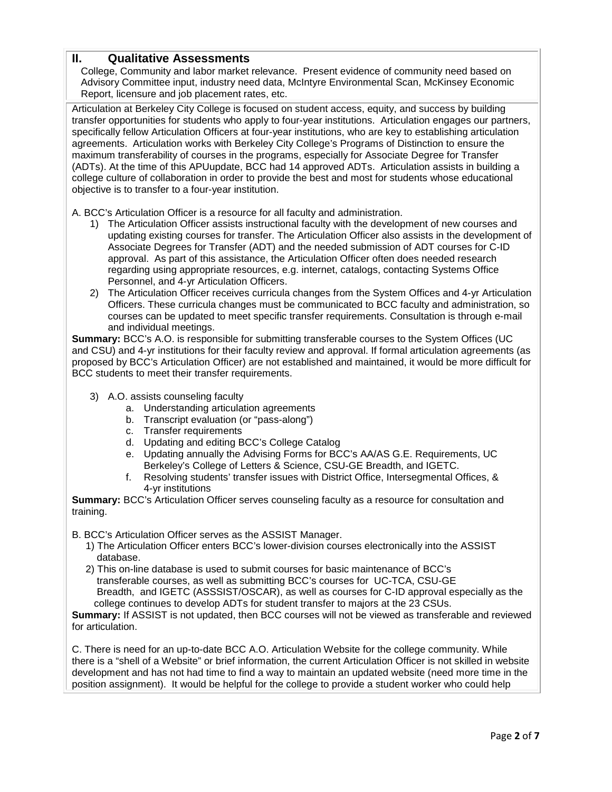## **II. Qualitative Assessments**

College, Community and labor market relevance. Present evidence of community need based on Advisory Committee input, industry need data, McIntyre Environmental Scan, McKinsey Economic Report, licensure and job placement rates, etc.

Articulation at Berkeley City College is focused on student access, equity, and success by building transfer opportunities for students who apply to four-year institutions. Articulation engages our partners, specifically fellow Articulation Officers at four-year institutions, who are key to establishing articulation agreements. Articulation works with Berkeley City College's Programs of Distinction to ensure the maximum transferability of courses in the programs, especially for Associate Degree for Transfer (ADTs). At the time of this APUupdate, BCC had 14 approved ADTs. Articulation assists in building a college culture of collaboration in order to provide the best and most for students whose educational objective is to transfer to a four-year institution.

A. BCC's Articulation Officer is a resource for all faculty and administration.

- 1) The Articulation Officer assists instructional faculty with the development of new courses and updating existing courses for transfer. The Articulation Officer also assists in the development of Associate Degrees for Transfer (ADT) and the needed submission of ADT courses for C-ID approval. As part of this assistance, the Articulation Officer often does needed research regarding using appropriate resources, e.g. internet, catalogs, contacting Systems Office Personnel, and 4-yr Articulation Officers.
- 2) The Articulation Officer receives curricula changes from the System Offices and 4-yr Articulation Officers. These curricula changes must be communicated to BCC faculty and administration, so courses can be updated to meet specific transfer requirements. Consultation is through e-mail and individual meetings.

**Summary:** BCC's A.O. is responsible for submitting transferable courses to the System Offices (UC and CSU) and 4-yr institutions for their faculty review and approval. If formal articulation agreements (as proposed by BCC's Articulation Officer) are not established and maintained, it would be more difficult for BCC students to meet their transfer requirements.

- 3) A.O. assists counseling faculty
	- a. Understanding articulation agreements
	- b. Transcript evaluation (or "pass-along")
	- c. Transfer requirements
	- d. Updating and editing BCC's College Catalog
	- e. Updating annually the Advising Forms for BCC's AA/AS G.E. Requirements, UC Berkeley's College of Letters & Science, CSU-GE Breadth, and IGETC.
	- f. Resolving students' transfer issues with District Office, Intersegmental Offices, & 4-yr institutions

**Summary:** BCC's Articulation Officer serves counseling faculty as a resource for consultation and training.

B. BCC's Articulation Officer serves as the ASSIST Manager.

- 1) The Articulation Officer enters BCC's lower-division courses electronically into the ASSIST database.
- 2) This on-line database is used to submit courses for basic maintenance of BCC's transferable courses, as well as submitting BCC's courses for UC-TCA, CSU-GE Breadth, and IGETC (ASSSIST/OSCAR), as well as courses for C-ID approval especially as the college continues to develop ADTs for student transfer to majors at the 23 CSUs.

**Summary:** If ASSIST is not updated, then BCC courses will not be viewed as transferable and reviewed for articulation.

C. There is need for an up-to-date BCC A.O. Articulation Website for the college community. While there is a "shell of a Website" or brief information, the current Articulation Officer is not skilled in website development and has not had time to find a way to maintain an updated website (need more time in the position assignment). It would be helpful for the college to provide a student worker who could help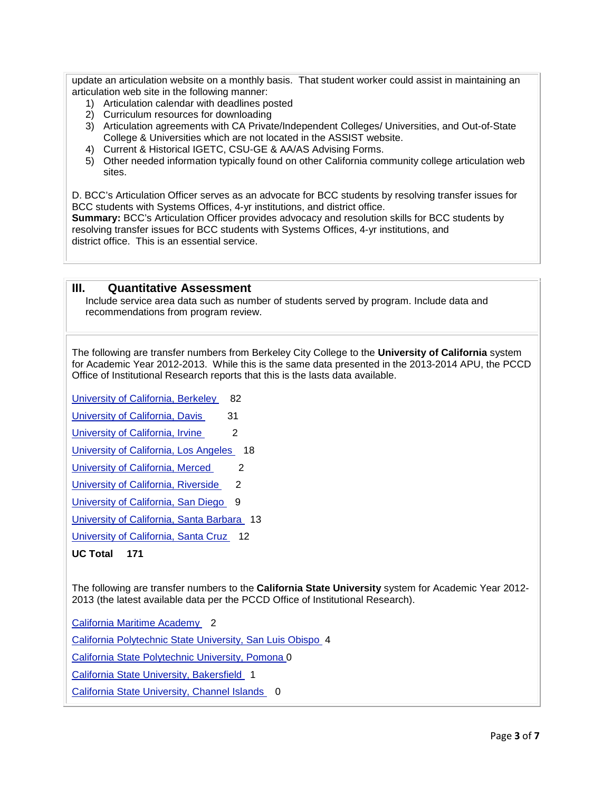update an articulation website on a monthly basis. That student worker could assist in maintaining an articulation web site in the following manner:

- 1) Articulation calendar with deadlines posted
- 2) Curriculum resources for downloading
- 3) Articulation agreements with CA Private/Independent Colleges/ Universities, and Out-of-State College & Universities which are not located in the ASSIST website.
- 4) Current & Historical IGETC, CSU-GE & AA/AS Advising Forms.
- 5) Other needed information typically found on other California community college articulation web sites.

D. BCC's Articulation Officer serves as an advocate for BCC students by resolving transfer issues for BCC students with Systems Offices, 4-yr institutions, and district office.

**Summary:** BCC's Articulation Officer provides advocacy and resolution skills for BCC students by resolving transfer issues for BCC students with Systems Offices, 4-yr institutions, and district office. This is an essential service.

### **III. Quantitative Assessment**

Include service area data such as number of students served by program. Include data and recommendations from program review.

The following are transfer numbers from Berkeley City College to the **University of California** system for Academic Year 2012-2013. While this is the same data presented in the 2013-2014 APU, the PCCD Office of Institutional Research reports that this is the lasts data available.

[University of California, Berkeley](http://www.cpec.ca.gov/OnLineData/TransferPathwayChart.asp?Inst=A0001A) 82

[University of California, Davis](http://www.cpec.ca.gov/OnLineData/TransferPathwayChart.asp?Inst=A0002A) 31

[University of California, Irvine](http://www.cpec.ca.gov/OnLineData/TransferPathwayChart.asp?Inst=A0003A) 2

[University of California, Los Angeles](http://www.cpec.ca.gov/OnLineData/TransferPathwayChart.asp?Inst=A0004A) 18

[University of California, Merced](http://www.cpec.ca.gov/OnLineData/TransferPathwayChart.asp?Inst=A0010A) 2

[University of California, Riverside](http://www.cpec.ca.gov/OnLineData/TransferPathwayChart.asp?Inst=A0005A) 2

[University of California, San Diego](http://www.cpec.ca.gov/OnLineData/TransferPathwayChart.asp?Inst=A0006A) 9

[University of California, Santa Barbara](http://www.cpec.ca.gov/OnLineData/TransferPathwayChart.asp?Inst=A0008A) 13

[University of California, Santa Cruz](http://www.cpec.ca.gov/OnLineData/TransferPathwayChart.asp?Inst=A0009A) 12

**UC Total 171**

The following are transfer numbers to the **California State University** system for Academic Year 2012- 2013 (the latest available data per the PCCD Office of Institutional Research).

[California Maritime Academy](http://www.cpec.ca.gov/OnLineData/TransferPathwayChart.asp?Inst=B0022A) 2

[California Polytechnic State University, San Luis Obispo](http://www.cpec.ca.gov/OnLineData/TransferPathwayChart.asp?Inst=B0017A) 4

[California State Polytechnic University, Pomona 0](http://www.cpec.ca.gov/OnLineData/TransferPathwayChart.asp?Inst=B0011A)

[California State University, Bakersfield](http://www.cpec.ca.gov/OnLineData/TransferPathwayChart.asp?Inst=B0001A) 1

[California State University, Channel Islands](http://www.cpec.ca.gov/OnLineData/TransferPathwayChart.asp?Inst=B0024A) 0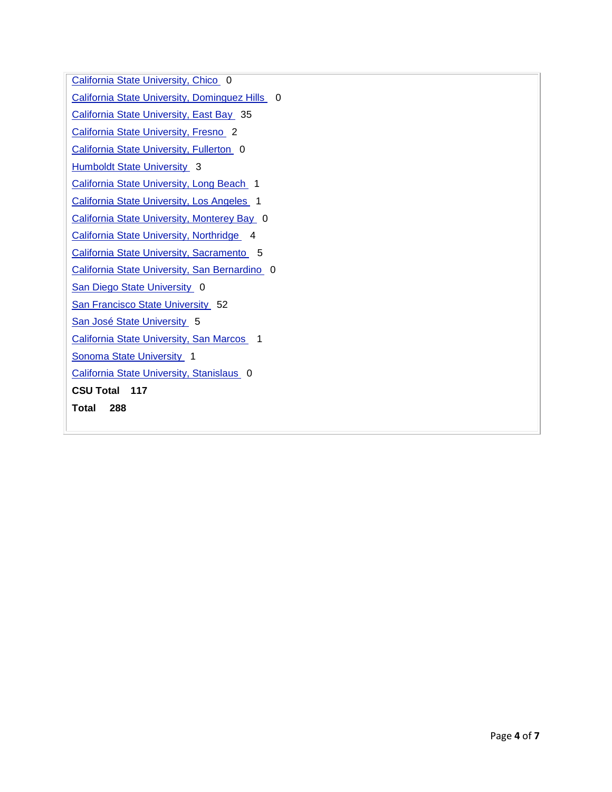[California State University, Chico](http://www.cpec.ca.gov/OnLineData/TransferPathwayChart.asp?Inst=B0002A) [California State University, Dominguez Hills](http://www.cpec.ca.gov/OnLineData/TransferPathwayChart.asp?Inst=B0003A) [California State University, East Bay](http://www.cpec.ca.gov/OnLineData/TransferPathwayChart.asp?Inst=B0006A) 35 [California State University, Fresno](http://www.cpec.ca.gov/OnLineData/TransferPathwayChart.asp?Inst=B0004A) [California State University, Fullerton](http://www.cpec.ca.gov/OnLineData/TransferPathwayChart.asp?Inst=B0005A) **[Humboldt State University](http://www.cpec.ca.gov/OnLineData/TransferPathwayChart.asp?Inst=B0007A)** [California State University, Long Beach](http://www.cpec.ca.gov/OnLineData/TransferPathwayChart.asp?Inst=B0008A) [California State University, Los Angeles](http://www.cpec.ca.gov/OnLineData/TransferPathwayChart.asp?Inst=B0009A) [California State University, Monterey Bay](http://www.cpec.ca.gov/OnLineData/TransferPathwayChart.asp?Inst=B0023A) [California State University, Northridge](http://www.cpec.ca.gov/OnLineData/TransferPathwayChart.asp?Inst=B0010A) 4 [California State University, Sacramento](http://www.cpec.ca.gov/OnLineData/TransferPathwayChart.asp?Inst=B0012A) [California State University, San Bernardino](http://www.cpec.ca.gov/OnLineData/TransferPathwayChart.asp?Inst=B0013A) [San Diego State University](http://www.cpec.ca.gov/OnLineData/TransferPathwayChart.asp?Inst=B0014A) [San Francisco State University](http://www.cpec.ca.gov/OnLineData/TransferPathwayChart.asp?Inst=B0015A) [San José State University](http://www.cpec.ca.gov/OnLineData/TransferPathwayChart.asp?Inst=B0016A) [California State University, San Marcos](http://www.cpec.ca.gov/OnLineData/TransferPathwayChart.asp?Inst=B0021A) [Sonoma State University](http://www.cpec.ca.gov/OnLineData/TransferPathwayChart.asp?Inst=B0018A) [California State University, Stanislaus](http://www.cpec.ca.gov/OnLineData/TransferPathwayChart.asp?Inst=B0019A) 0 **CSU Total 117 Total 288**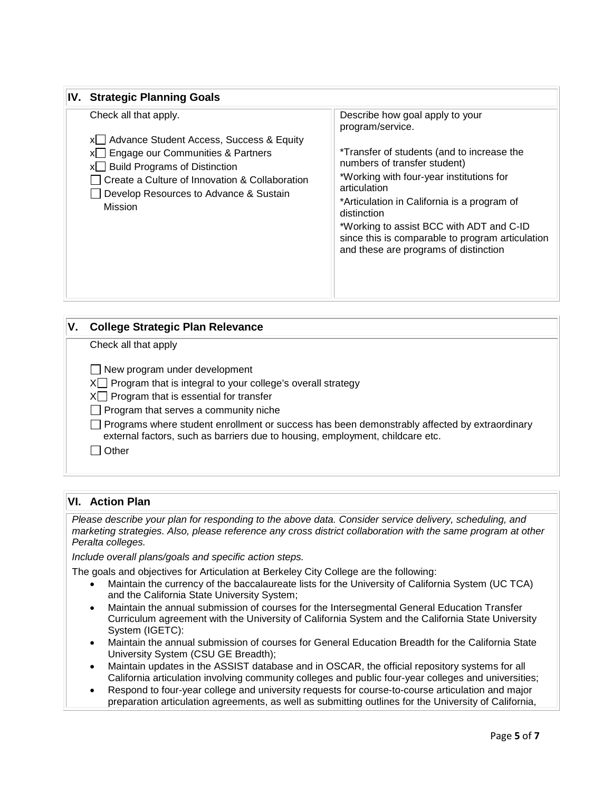## **IV. Strategic Planning Goals**

| V. | <b>College Strategic Plan Relevance</b>                                                                                                                                              |
|----|--------------------------------------------------------------------------------------------------------------------------------------------------------------------------------------|
|    | Check all that apply                                                                                                                                                                 |
|    | $\Box$ New program under development                                                                                                                                                 |
|    | $X \cap$ Program that is integral to your college's overall strategy                                                                                                                 |
|    | $X \square$ Program that is essential for transfer                                                                                                                                   |
|    | $\Box$ Program that serves a community niche                                                                                                                                         |
|    | $\Box$ Programs where student enrollment or success has been demonstrably affected by extraordinary<br>external factors, such as barriers due to housing, employment, childcare etc. |
|    | Other                                                                                                                                                                                |

## **VI. Action Plan**

*Please describe your plan for responding to the above data. Consider service delivery, scheduling, and marketing strategies. Also, please reference any cross district collaboration with the same program at other Peralta colleges.* 

*Include overall plans/goals and specific action steps.*

The goals and objectives for Articulation at Berkeley City College are the following:

- Maintain the currency of the baccalaureate lists for the University of California System (UC TCA) and the California State University System;
- Maintain the annual submission of courses for the Intersegmental General Education Transfer Curriculum agreement with the University of California System and the California State University System (IGETC):
- Maintain the annual submission of courses for General Education Breadth for the California State University System (CSU GE Breadth);
- Maintain updates in the ASSIST database and in OSCAR, the official repository systems for all California articulation involving community colleges and public four-year colleges and universities;
- Respond to four-year college and university requests for course-to-course articulation and major preparation articulation agreements, as well as submitting outlines for the University of California,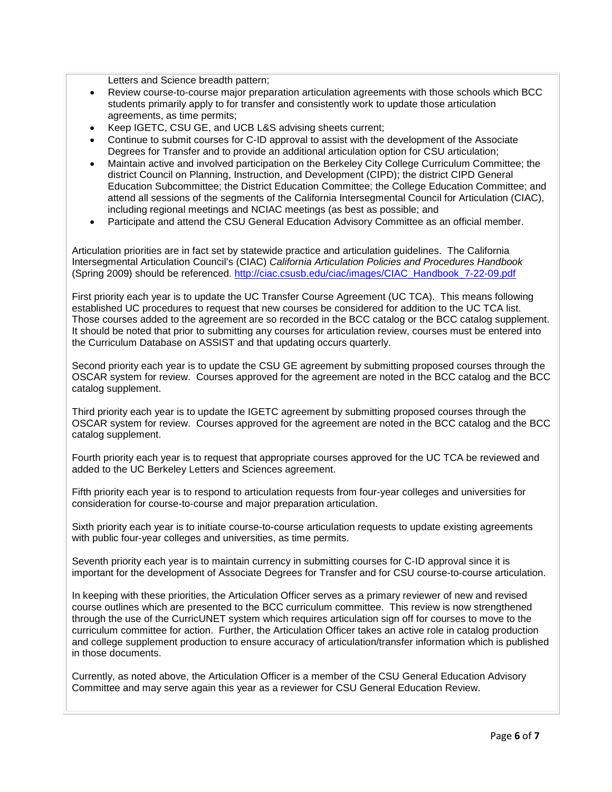Letters and Science breadth pattern;

- Review course-to-course major preparation articulation agreements with those schools which BCC students primarily apply to for transfer and consistently work to update those articulation agreements, as time permits;
- Keep IGETC, CSU GE, and UCB L&S advising sheets current;
- Continue to submit courses for C-ID approval to assist with the development of the Associate Degrees for Transfer and to provide an additional articulation option for CSU articulation;
- Maintain active and involved participation on the Berkeley City College Curriculum Committee; the district Council on Planning, Instruction, and Development (CIPD); the district CIPD General Education Subcommittee; the District Education Committee; the College Education Committee; and attend all sessions of the segments of the California Intersegmental Council for Articulation (CIAC), including regional meetings and NCIAC meetings (as best as possible; and
- Participate and attend the CSU General Education Advisory Committee as an official member.

Articulation priorities are in fact set by statewide practice and articulation guidelines. The California Intersegmental Articulation Council's (CIAC) *California Articulation Policies and Procedures Handbook*  (Spring 2009) should be referenced. [http://ciac.csusb.edu/ciac/images/CIAC\\_Handbook\\_7-22-09.pdf](http://ciac.csusb.edu/ciac/images/CIAC_Handbook_7-22-09.pdf)

First priority each year is to update the UC Transfer Course Agreement (UC TCA). This means following established UC procedures to request that new courses be considered for addition to the UC TCA list. Those courses added to the agreement are so recorded in the BCC catalog or the BCC catalog supplement. It should be noted that prior to submitting any courses for articulation review, courses must be entered into the Curriculum Database on ASSIST and that updating occurs quarterly.

Second priority each year is to update the CSU GE agreement by submitting proposed courses through the OSCAR system for review. Courses approved for the agreement are noted in the BCC catalog and the BCC catalog supplement.

Third priority each year is to update the IGETC agreement by submitting proposed courses through the OSCAR system for review. Courses approved for the agreement are noted in the BCC catalog and the BCC catalog supplement.

Fourth priority each year is to request that appropriate courses approved for the UC TCA be reviewed and added to the UC Berkeley Letters and Sciences agreement.

Fifth priority each year is to respond to articulation requests from four-year colleges and universities for consideration for course-to-course and major preparation articulation.

Sixth priority each year is to initiate course-to-course articulation requests to update existing agreements with public four-year colleges and universities, as time permits.

Seventh priority each year is to maintain currency in submitting courses for C-ID approval since it is important for the development of Associate Degrees for Transfer and for CSU course-to-course articulation.

In keeping with these priorities, the Articulation Officer serves as a primary reviewer of new and revised course outlines which are presented to the BCC curriculum committee. This review is now strengthened through the use of the CurricUNET system which requires articulation sign off for courses to move to the curriculum committee for action. Further, the Articulation Officer takes an active role in catalog production and college supplement production to ensure accuracy of articulation/transfer information which is published in those documents.

Currently, as noted above, the Articulation Officer is a member of the CSU General Education Advisory Committee and may serve again this year as a reviewer for CSU General Education Review.